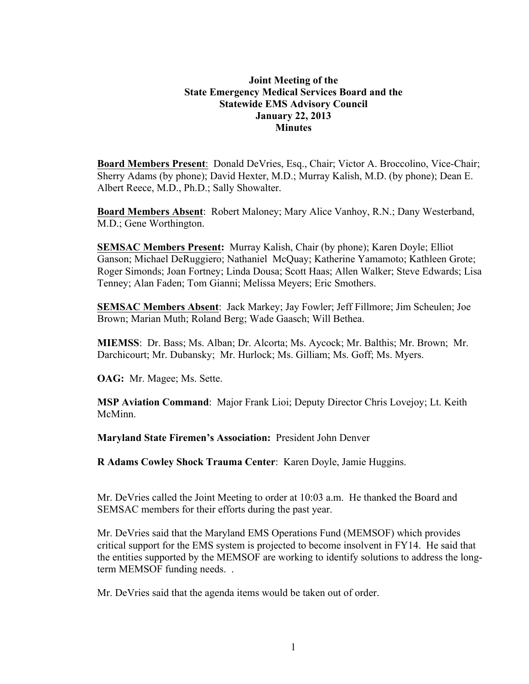### **Joint Meeting of the State Emergency Medical Services Board and the Statewide EMS Advisory Council January 22, 2013 Minutes**

**Board Members Present**: Donald DeVries, Esq., Chair; Victor A. Broccolino, Vice-Chair; Sherry Adams (by phone); David Hexter, M.D.; Murray Kalish, M.D. (by phone); Dean E. Albert Reece, M.D., Ph.D.; Sally Showalter.

**Board Members Absent**: Robert Maloney; Mary Alice Vanhoy, R.N.; Dany Westerband, M.D.; Gene Worthington.

**SEMSAC Members Present:** Murray Kalish, Chair (by phone); Karen Doyle; Elliot Ganson; Michael DeRuggiero; Nathaniel McQuay; Katherine Yamamoto; Kathleen Grote; Roger Simonds; Joan Fortney; Linda Dousa; Scott Haas; Allen Walker; Steve Edwards; Lisa Tenney; Alan Faden; Tom Gianni; Melissa Meyers; Eric Smothers.

**SEMSAC Members Absent**: Jack Markey; Jay Fowler; Jeff Fillmore; Jim Scheulen; Joe Brown; Marian Muth; Roland Berg; Wade Gaasch; Will Bethea.

**MIEMSS**: Dr. Bass; Ms. Alban; Dr. Alcorta; Ms. Aycock; Mr. Balthis; Mr. Brown; Mr. Darchicourt; Mr. Dubansky; Mr. Hurlock; Ms. Gilliam; Ms. Goff; Ms. Myers.

**OAG:** Mr. Magee; Ms. Sette.

**MSP Aviation Command**: Major Frank Lioi; Deputy Director Chris Lovejoy; Lt. Keith McMinn.

**Maryland State Firemen's Association:** President John Denver

**R Adams Cowley Shock Trauma Center**: Karen Doyle, Jamie Huggins.

Mr. DeVries called the Joint Meeting to order at 10:03 a.m. He thanked the Board and SEMSAC members for their efforts during the past year.

Mr. DeVries said that the Maryland EMS Operations Fund (MEMSOF) which provides critical support for the EMS system is projected to become insolvent in FY14. He said that the entities supported by the MEMSOF are working to identify solutions to address the longterm MEMSOF funding needs. .

Mr. DeVries said that the agenda items would be taken out of order.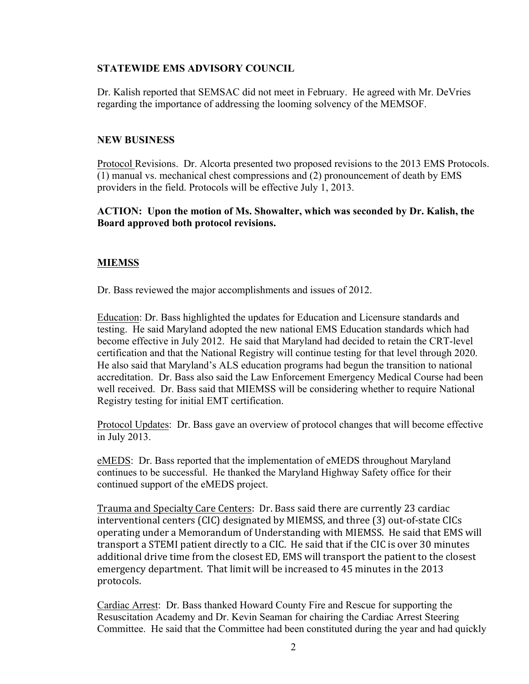#### **STATEWIDE EMS ADVISORY COUNCIL**

Dr. Kalish reported that SEMSAC did not meet in February. He agreed with Mr. DeVries regarding the importance of addressing the looming solvency of the MEMSOF.

#### **NEW BUSINESS**

Protocol Revisions. Dr. Alcorta presented two proposed revisions to the 2013 EMS Protocols. (1) manual vs. mechanical chest compressions and (2) pronouncement of death by EMS providers in the field. Protocols will be effective July 1, 2013.

**ACTION: Upon the motion of Ms. Showalter, which was seconded by Dr. Kalish, the Board approved both protocol revisions.**

### **MIEMSS**

Dr. Bass reviewed the major accomplishments and issues of 2012.

Education: Dr. Bass highlighted the updates for Education and Licensure standards and testing. He said Maryland adopted the new national EMS Education standards which had become effective in July 2012. He said that Maryland had decided to retain the CRT-level certification and that the National Registry will continue testing for that level through 2020. He also said that Maryland's ALS education programs had begun the transition to national accreditation. Dr. Bass also said the Law Enforcement Emergency Medical Course had been well received. Dr. Bass said that MIEMSS will be considering whether to require National Registry testing for initial EMT certification.

Protocol Updates: Dr. Bass gave an overview of protocol changes that will become effective in July 2013.

eMEDS: Dr. Bass reported that the implementation of eMEDS throughout Maryland continues to be successful. He thanked the Maryland Highway Safety office for their continued support of the eMEDS project.

Trauma and Specialty Care Centers: Dr. Bass said there are currently 23 cardiac interventional centers (CIC) designated by MIEMSS, and three (3) out-of-state CICs operating under a Memorandum of Understanding with MIEMSS. He said that EMS will transport a STEMI patient directly to a CIC. He said that if the CIC is over 30 minutes additional drive time from the closest ED, EMS will transport the patient to the closest emergency department. That limit will be increased to 45 minutes in the 2013 protocols.

Cardiac Arrest: Dr. Bass thanked Howard County Fire and Rescue for supporting the Resuscitation Academy and Dr. Kevin Seaman for chairing the Cardiac Arrest Steering Committee. He said that the Committee had been constituted during the year and had quickly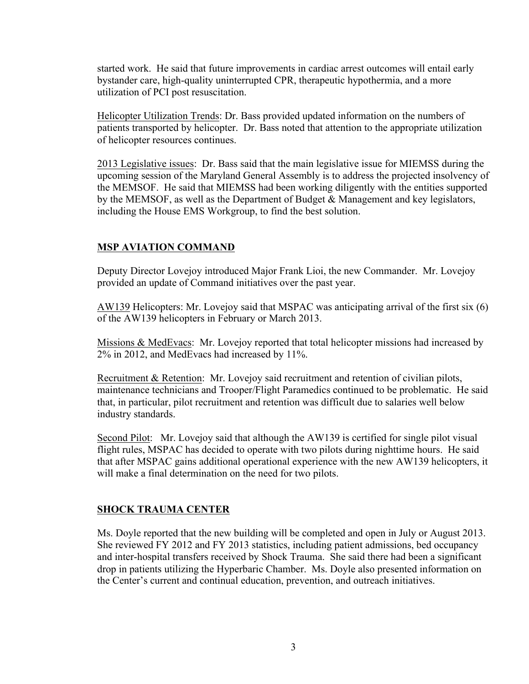started work. He said that future improvements in cardiac arrest outcomes will entail early bystander care, high-quality uninterrupted CPR, therapeutic hypothermia, and a more utilization of PCI post resuscitation.

Helicopter Utilization Trends: Dr. Bass provided updated information on the numbers of patients transported by helicopter. Dr. Bass noted that attention to the appropriate utilization of helicopter resources continues.

2013 Legislative issues: Dr. Bass said that the main legislative issue for MIEMSS during the upcoming session of the Maryland General Assembly is to address the projected insolvency of the MEMSOF. He said that MIEMSS had been working diligently with the entities supported by the MEMSOF, as well as the Department of Budget & Management and key legislators, including the House EMS Workgroup, to find the best solution.

## **MSP AVIATION COMMAND**

Deputy Director Lovejoy introduced Major Frank Lioi, the new Commander. Mr. Lovejoy provided an update of Command initiatives over the past year.

AW139 Helicopters: Mr. Lovejoy said that MSPAC was anticipating arrival of the first six (6) of the AW139 helicopters in February or March 2013.

Missions & MedEvacs: Mr. Lovejoy reported that total helicopter missions had increased by 2% in 2012, and MedEvacs had increased by 11%.

Recruitment & Retention: Mr. Lovejoy said recruitment and retention of civilian pilots, maintenance technicians and Trooper/Flight Paramedics continued to be problematic. He said that, in particular, pilot recruitment and retention was difficult due to salaries well below industry standards.

Second Pilot: Mr. Lovejoy said that although the AW139 is certified for single pilot visual flight rules, MSPAC has decided to operate with two pilots during nighttime hours. He said that after MSPAC gains additional operational experience with the new AW139 helicopters, it will make a final determination on the need for two pilots.

### **SHOCK TRAUMA CENTER**

Ms. Doyle reported that the new building will be completed and open in July or August 2013. She reviewed FY 2012 and FY 2013 statistics, including patient admissions, bed occupancy and inter-hospital transfers received by Shock Trauma. She said there had been a significant drop in patients utilizing the Hyperbaric Chamber. Ms. Doyle also presented information on the Center's current and continual education, prevention, and outreach initiatives.